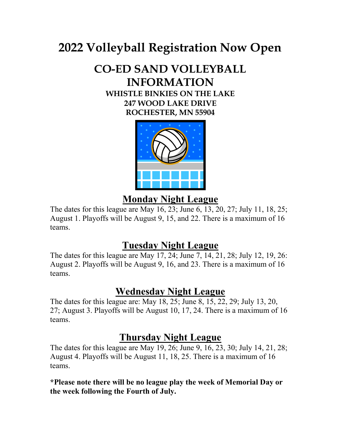# 2022 Volleyball Registration Now Open

# CO-ED SAND VOLLEYBALL INFORMATION

WHISTLE BINKIES ON THE LAKE 247 WOOD LAKE DRIVE ROCHESTER, MN 55904



### Monday Night League

The dates for this league are May 16, 23; June 6, 13, 20, 27; July 11, 18, 25; August 1. Playoffs will be August 9, 15, and 22. There is a maximum of 16 teams.

## Tuesday Night League

The dates for this league are May 17, 24; June 7, 14, 21, 28; July 12, 19, 26: August 2. Playoffs will be August 9, 16, and 23. There is a maximum of 16 teams.

## Wednesday Night League

The dates for this league are: May 18, 25; June 8, 15, 22, 29; July 13, 20, 27; August 3. Playoffs will be August 10, 17, 24. There is a maximum of 16 teams.

### Thursday Night League

The dates for this league are May 19, 26; June 9, 16, 23, 30; July 14, 21, 28; August 4. Playoffs will be August 11, 18, 25. There is a maximum of 16 teams.

\*Please note there will be no league play the week of Memorial Day or the week following the Fourth of July.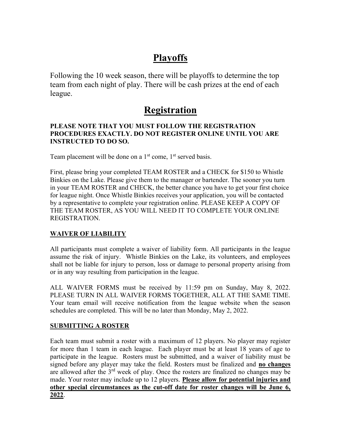## Playoffs

Following the 10 week season, there will be playoffs to determine the top team from each night of play. There will be cash prizes at the end of each league.

### Registration

#### PLEASE NOTE THAT YOU MUST FOLLOW THE REGISTRATION PROCEDURES EXACTLY. DO NOT REGISTER ONLINE UNTIL YOU ARE INSTRUCTED TO DO SO.

Team placement will be done on a  $1<sup>st</sup>$  come,  $1<sup>st</sup>$  served basis.

First, please bring your completed TEAM ROSTER and a CHECK for \$150 to Whistle Binkies on the Lake. Please give them to the manager or bartender. The sooner you turn in your TEAM ROSTER and CHECK, the better chance you have to get your first choice for league night. Once Whistle Binkies receives your application, you will be contacted by a representative to complete your registration online. PLEASE KEEP A COPY OF THE TEAM ROSTER, AS YOU WILL NEED IT TO COMPLETE YOUR ONLINE REGISTRATION.

#### WAIVER OF LIABILITY

All participants must complete a waiver of liability form. All participants in the league assume the risk of injury. Whistle Binkies on the Lake, its volunteers, and employees shall not be liable for injury to person, loss or damage to personal property arising from or in any way resulting from participation in the league.

ALL WAIVER FORMS must be received by 11:59 pm on Sunday, May 8, 2022. PLEASE TURN IN ALL WAIVER FORMS TOGETHER, ALL AT THE SAME TIME. Your team email will receive notification from the league website when the season schedules are completed. This will be no later than Monday, May 2, 2022.

#### SUBMITTING A ROSTER

Each team must submit a roster with a maximum of 12 players. No player may register for more than 1 team in each league. Each player must be at least 18 years of age to participate in the league. Rosters must be submitted, and a waiver of liability must be signed before any player may take the field. Rosters must be finalized and no changes are allowed after the  $3<sup>rd</sup>$  week of play. Once the rosters are finalized no changes may be made. Your roster may include up to 12 players. Please allow for potential injuries and other special circumstances as the cut-off date for roster changes will be June 6, 2022.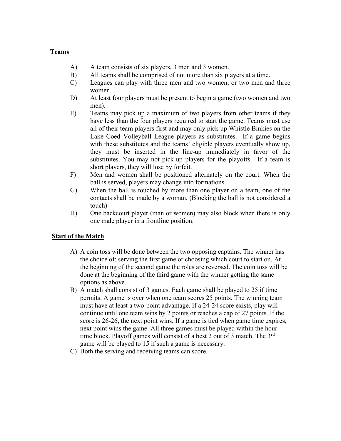#### Teams

- A) A team consists of six players, 3 men and 3 women.
- B) All teams shall be comprised of not more than six players at a time.
- C) Leagues can play with three men and two women, or two men and three women.
- D) At least four players must be present to begin a game (two women and two men).
- E) Teams may pick up a maximum of two players from other teams if they have less than the four players required to start the game. Teams must use all of their team players first and may only pick up Whistle Binkies on the Lake Coed Volleyball League players as substitutes. If a game begins with these substitutes and the teams' eligible players eventually show up, they must be inserted in the line-up immediately in favor of the substitutes. You may not pick-up players for the playoffs. If a team is short players, they will lose by forfeit.
- F) Men and women shall be positioned alternately on the court. When the ball is served, players may change into formations.
- G) When the ball is touched by more than one player on a team, one of the contacts shall be made by a woman. (Blocking the ball is not considered a touch)
- H) One backcourt player (man or women) may also block when there is only one male player in a frontline position.

#### **Start of the Match**

- A) A coin toss will be done between the two opposing captains. The winner has the choice of: serving the first game or choosing which court to start on. At the beginning of the second game the roles are reversed. The coin toss will be done at the beginning of the third game with the winner getting the same options as above.
- B) A match shall consist of 3 games. Each game shall be played to 25 if time permits. A game is over when one team scores 25 points. The winning team must have at least a two-point advantage. If a 24-24 score exists, play will continue until one team wins by 2 points or reaches a cap of 27 points. If the score is 26-26, the next point wins. If a game is tied when game time expires, next point wins the game. All three games must be played within the hour time block. Playoff games will consist of a best 2 out of 3 match. The 3<sup>rd</sup> game will be played to 15 if such a game is necessary.
- C) Both the serving and receiving teams can score.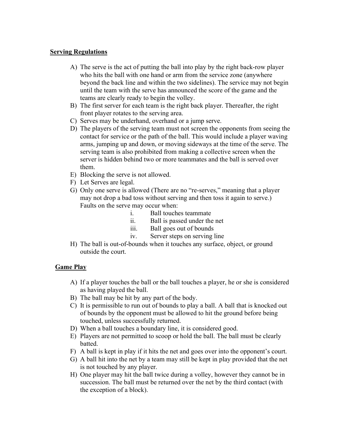#### Serving Regulations

- A) The serve is the act of putting the ball into play by the right back-row player who hits the ball with one hand or arm from the service zone (anywhere beyond the back line and within the two sidelines). The service may not begin until the team with the serve has announced the score of the game and the teams are clearly ready to begin the volley.
- B) The first server for each team is the right back player. Thereafter, the right front player rotates to the serving area.
- C) Serves may be underhand, overhand or a jump serve.
- D) The players of the serving team must not screen the opponents from seeing the contact for service or the path of the ball. This would include a player waving arms, jumping up and down, or moving sideways at the time of the serve. The serving team is also prohibited from making a collective screen when the server is hidden behind two or more teammates and the ball is served over them.
- E) Blocking the serve is not allowed.
- F) Let Serves are legal.
- G) Only one serve is allowed (There are no "re-serves," meaning that a player may not drop a bad toss without serving and then toss it again to serve.) Faults on the serve may occur when:
	- i. Ball touches teammate
	- ii. Ball is passed under the net
	- iii. Ball goes out of bounds
	- iv. Server steps on serving line
- H) The ball is out-of-bounds when it touches any surface, object, or ground outside the court.

#### Game Play

- A) If a player touches the ball or the ball touches a player, he or she is considered as having played the ball.
- B) The ball may be hit by any part of the body.
- C) It is permissible to run out of bounds to play a ball. A ball that is knocked out of bounds by the opponent must be allowed to hit the ground before being touched, unless successfully returned.
- D) When a ball touches a boundary line, it is considered good.
- E) Players are not permitted to scoop or hold the ball. The ball must be clearly batted.
- F) A ball is kept in play if it hits the net and goes over into the opponent's court.
- G) A ball hit into the net by a team may still be kept in play provided that the net is not touched by any player.
- H) One player may hit the ball twice during a volley, however they cannot be in succession. The ball must be returned over the net by the third contact (with the exception of a block).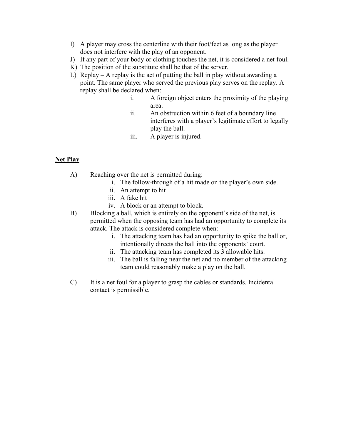- I) A player may cross the centerline with their foot/feet as long as the player does not interfere with the play of an opponent.
- J) If any part of your body or clothing touches the net, it is considered a net foul.
- K) The position of the substitute shall be that of the server.
- L) Replay A replay is the act of putting the ball in play without awarding a point. The same player who served the previous play serves on the replay. A replay shall be declared when:
	- i. A foreign object enters the proximity of the playing area.
	- ii. An obstruction within 6 feet of a boundary line interferes with a player's legitimate effort to legally play the ball.
	- iii. A player is injured.

#### Net Play

- A) Reaching over the net is permitted during:
	- i. The follow-through of a hit made on the player's own side.
	- ii. An attempt to hit
	- iii. A fake hit
	- iv. A block or an attempt to block.
- B) Blocking a ball, which is entirely on the opponent's side of the net, is permitted when the opposing team has had an opportunity to complete its attack. The attack is considered complete when:
	- i. The attacking team has had an opportunity to spike the ball or, intentionally directs the ball into the opponents' court.
	- ii. The attacking team has completed its 3 allowable hits.
	- iii. The ball is falling near the net and no member of the attacking team could reasonably make a play on the ball.
- C) It is a net foul for a player to grasp the cables or standards. Incidental contact is permissible.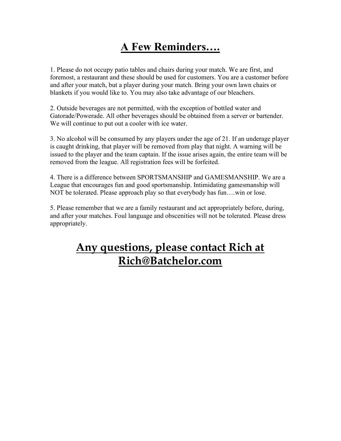## A Few Reminders….

1. Please do not occupy patio tables and chairs during your match. We are first, and foremost, a restaurant and these should be used for customers. You are a customer before and after your match, but a player during your match. Bring your own lawn chairs or blankets if you would like to. You may also take advantage of our bleachers.

2. Outside beverages are not permitted, with the exception of bottled water and Gatorade/Powerade. All other beverages should be obtained from a server or bartender. We will continue to put out a cooler with ice water.

3. No alcohol will be consumed by any players under the age of 21. If an underage player is caught drinking, that player will be removed from play that night. A warning will be issued to the player and the team captain. If the issue arises again, the entire team will be removed from the league. All registration fees will be forfeited.

4. There is a difference between SPORTSMANSHIP and GAMESMANSHIP. We are a League that encourages fun and good sportsmanship. Intimidating gamesmanship will NOT be tolerated. Please approach play so that everybody has fun….win or lose.

5. Please remember that we are a family restaurant and act appropriately before, during, and after your matches. Foul language and obscenities will not be tolerated. Please dress appropriately.

## Any questions, please contact Rich at Rich@Batchelor.com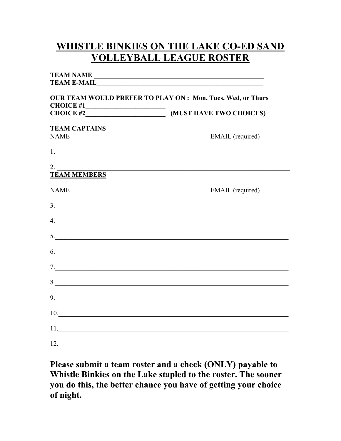## **WHISTLE BINKIES ON THE LAKE CO-ED SAND VOLLEYBALL LEAGUE ROSTER**

|                                                                                                                                                    | TEAM NAME                                                           |
|----------------------------------------------------------------------------------------------------------------------------------------------------|---------------------------------------------------------------------|
|                                                                                                                                                    |                                                                     |
| <b>OUR TEAM WOULD PREFER TO PLAY ON: Mon, Tues, Wed, or Thurs</b><br><b>CHOICE #1</b><br><u> 1989 - Johann Barn, mars eta bainar eta idazlea (</u> |                                                                     |
|                                                                                                                                                    |                                                                     |
| <b>TEAM CAPTAINS</b><br><b>NAME</b>                                                                                                                | EMAIL (required)                                                    |
|                                                                                                                                                    |                                                                     |
| 2.                                                                                                                                                 | <u> 1989 - Jan Samuel Barbara, poeta establecidade por esta apr</u> |
| <b>TEAM MEMBERS</b>                                                                                                                                |                                                                     |
| <b>NAME</b>                                                                                                                                        | EMAIL (required)                                                    |
|                                                                                                                                                    | $\frac{3}{2}$                                                       |
|                                                                                                                                                    | $\mathcal{A}$ .                                                     |
|                                                                                                                                                    | 5.                                                                  |
|                                                                                                                                                    | 6.                                                                  |
|                                                                                                                                                    |                                                                     |
|                                                                                                                                                    |                                                                     |
|                                                                                                                                                    | 9.                                                                  |
|                                                                                                                                                    | 10.                                                                 |
|                                                                                                                                                    |                                                                     |
| 12.                                                                                                                                                |                                                                     |

Please submit a team roster and a check (ONLY) payable to Whistle Binkies on the Lake stapled to the roster. The sooner you do this, the better chance you have of getting your choice of night.